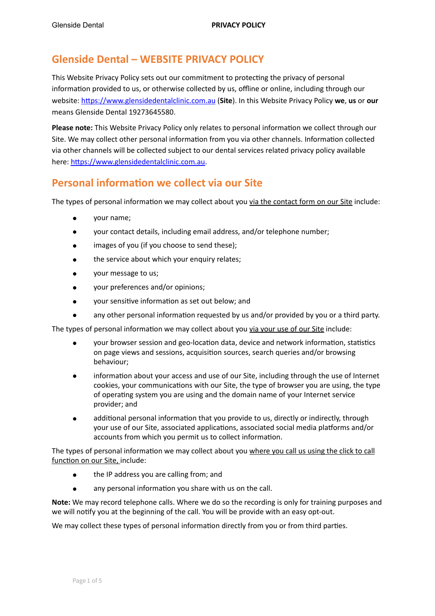### **Glenside Dental – WEBSITE PRIVACY POLICY**

This Website Privacy Policy sets out our commitment to protecting the privacy of personal information provided to us, or otherwise collected by us, offline or online, including through our website: https://www.glensidedentalclinic.com.au (Site). In this Website Privacy Policy we, us or our means Glenside Dental 19273645580.

**Please note:** This Website Privacy Policy only relates to personal information we collect through our Site. We may collect other personal information from you via other channels. Information collected via other channels will be collected subject to our dental services related privacy policy available here: https://www.glensidedentalclinic.com.au.

#### **Personal information we collect via our Site**

The types of personal information we may collect about you via the contact form on our Site include:

- your name;
- your contact details, including email address, and/or telephone number;
- images of you (if you choose to send these);
- the service about which your enquiry relates;
- your message to us;
- your preferences and/or opinions;
- vour sensitive information as set out below; and
- any other personal information requested by us and/or provided by you or a third party.

The types of personal information we may collect about you via your use of our Site include:

- your browser session and geo-location data, device and network information, statistics on page views and sessions, acquisition sources, search queries and/or browsing behaviour;
- information about your access and use of our Site, including through the use of Internet cookies, your communications with our Site, the type of browser you are using, the type of operating system you are using and the domain name of your Internet service provider; and
- additional personal information that you provide to us, directly or indirectly, through your use of our Site, associated applications, associated social media platforms and/or accounts from which you permit us to collect information.

The types of personal information we may collect about you where you call us using the click to call function on our Site, include:

- the IP address you are calling from; and
- any personal information you share with us on the call.

**Note:** We may record telephone calls. Where we do so the recording is only for training purposes and we will notify you at the beginning of the call. You will be provide with an easy opt-out.

We may collect these types of personal information directly from you or from third parties.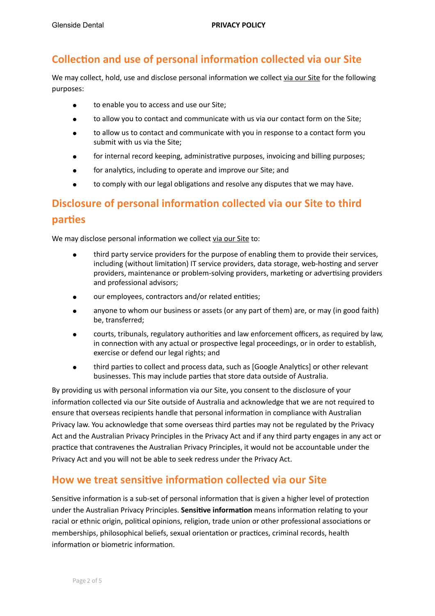### **Collection and use of personal information collected via our Site**

We may collect, hold, use and disclose personal information we collect via our Site for the following purposes: 

- to enable you to access and use our Site;
- to allow you to contact and communicate with us via our contact form on the Site;
- to allow us to contact and communicate with you in response to a contact form you submit with us via the Site;
- for internal record keeping, administrative purposes, invoicing and billing purposes;
- for analytics, including to operate and improve our Site; and
- to comply with our legal obligations and resolve any disputes that we may have.

# **Disclosure of personal information collected via our Site to third parties**

We may disclose personal information we collect via our Site to:

- third party service providers for the purpose of enabling them to provide their services, including (without limitation) IT service providers, data storage, web-hosting and server providers, maintenance or problem-solving providers, marketing or advertising providers and professional advisors;
- our employees, contractors and/or related entities;
- anyone to whom our business or assets (or any part of them) are, or may (in good faith) be, transferred;
- courts, tribunals, regulatory authorities and law enforcement officers, as required by law, in connection with any actual or prospective legal proceedings, or in order to establish, exercise or defend our legal rights; and
- third parties to collect and process data, such as [Google Analytics] or other relevant businesses. This may include parties that store data outside of Australia.

By providing us with personal information via our Site, you consent to the disclosure of your information collected via our Site outside of Australia and acknowledge that we are not required to ensure that overseas recipients handle that personal information in compliance with Australian Privacy law. You acknowledge that some overseas third parties may not be regulated by the Privacy Act and the Australian Privacy Principles in the Privacy Act and if any third party engages in any act or practice that contravenes the Australian Privacy Principles, it would not be accountable under the Privacy Act and you will not be able to seek redress under the Privacy Act.

#### **How we treat sensitive information collected via our Site**

Sensitive information is a sub-set of personal information that is given a higher level of protection under the Australian Privacy Principles. Sensitive information means information relating to your racial or ethnic origin, political opinions, religion, trade union or other professional associations or memberships, philosophical beliefs, sexual orientation or practices, criminal records, health information or biometric information.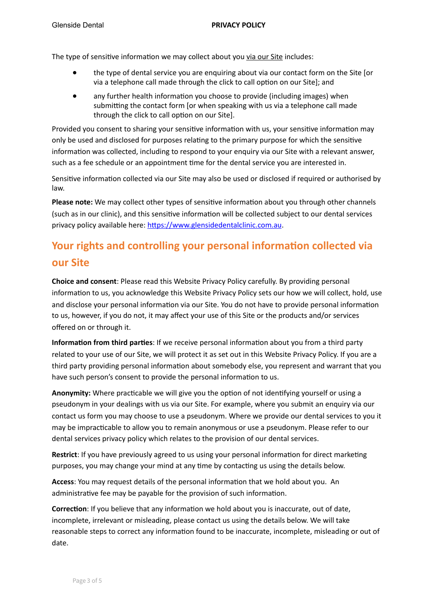The type of sensitive information we may collect about you via our Site includes:

- the type of dental service you are enquiring about via our contact form on the Site [or via a telephone call made through the click to call option on our Site]; and
- any further health information you choose to provide (including images) when submitting the contact form [or when speaking with us via a telephone call made through the click to call option on our Site].

Provided you consent to sharing your sensitive information with us, your sensitive information may only be used and disclosed for purposes relating to the primary purpose for which the sensitive information was collected, including to respond to your enguiry via our Site with a relevant answer. such as a fee schedule or an appointment time for the dental service you are interested in.

Sensitive information collected via our Site may also be used or disclosed if required or authorised by law. 

**Please note:** We may collect other types of sensitive information about you through other channels (such as in our clinic), and this sensitive information will be collected subject to our dental services privacy policy available here: https://www.glensidedentalclinic.com.au.

## **Your rights and controlling your personal information collected via our Site**

**Choice and consent:** Please read this Website Privacy Policy carefully. By providing personal information to us, you acknowledge this Website Privacy Policy sets our how we will collect, hold, use and disclose your personal information via our Site. You do not have to provide personal information to us, however, if you do not, it may affect your use of this Site or the products and/or services offered on or through it.

**Information from third parties**: If we receive personal information about you from a third party related to your use of our Site, we will protect it as set out in this Website Privacy Policy. If you are a third party providing personal information about somebody else, you represent and warrant that you have such person's consent to provide the personal information to us.

**Anonymity:** Where practicable we will give you the option of not identifying yourself or using a pseudonym in your dealings with us via our Site. For example, where you submit an enquiry via our contact us form you may choose to use a pseudonym. Where we provide our dental services to you it may be impracticable to allow you to remain anonymous or use a pseudonym. Please refer to our dental services privacy policy which relates to the provision of our dental services.

**Restrict**: If you have previously agreed to us using your personal information for direct marketing purposes, you may change your mind at any time by contacting us using the details below.

**Access:** You may request details of the personal information that we hold about you. An administrative fee may be payable for the provision of such information.

**Correction:** If you believe that any information we hold about you is inaccurate, out of date, incomplete, irrelevant or misleading, please contact us using the details below. We will take reasonable steps to correct any information found to be inaccurate, incomplete, misleading or out of date.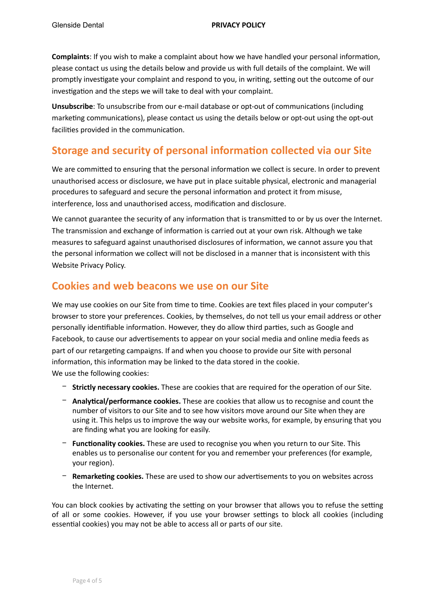**Complaints**: If you wish to make a complaint about how we have handled your personal information, please contact us using the details below and provide us with full details of the complaint. We will promptly investigate your complaint and respond to you, in writing, setting out the outcome of our investigation and the steps we will take to deal with your complaint.

**Unsubscribe**: To unsubscribe from our e-mail database or opt-out of communications (including marketing communications), please contact us using the details below or opt-out using the opt-out facilities provided in the communication.

#### **Storage and security of personal information collected via our Site**

We are committed to ensuring that the personal information we collect is secure. In order to prevent unauthorised access or disclosure, we have put in place suitable physical, electronic and managerial procedures to safeguard and secure the personal information and protect it from misuse, interference, loss and unauthorised access, modification and disclosure.

We cannot guarantee the security of any information that is transmitted to or by us over the Internet. The transmission and exchange of information is carried out at your own risk. Although we take measures to safeguard against unauthorised disclosures of information, we cannot assure you that the personal information we collect will not be disclosed in a manner that is inconsistent with this Website Privacy Policy.

#### **Cookies and web beacons we use on our Site**

We may use cookies on our Site from time to time. Cookies are text files placed in your computer's browser to store your preferences. Cookies, by themselves, do not tell us your email address or other personally identifiable information. However, they do allow third parties, such as Google and Facebook, to cause our advertisements to appear on your social media and online media feeds as part of our retargeting campaigns. If and when you choose to provide our Site with personal information, this information may be linked to the data stored in the cookie.

We use the following cookies:

- **− Strictly necessary cookies.** These are cookies that are required for the operation of our Site.
- **− Analytical/performance cookies.** These are cookies that allow us to recognise and count the number of visitors to our Site and to see how visitors move around our Site when they are using it. This helps us to improve the way our website works, for example, by ensuring that you are finding what you are looking for easily.
- **− Functionality cookies.** These are used to recognise you when you return to our Site. This enables us to personalise our content for you and remember your preferences (for example, your region).
- **− Remarketing cookies.** These are used to show our advertisements to you on websites across the Internet.

You can block cookies by activating the setting on your browser that allows you to refuse the setting of all or some cookies. However, if you use your browser settings to block all cookies (including essential cookies) you may not be able to access all or parts of our site.